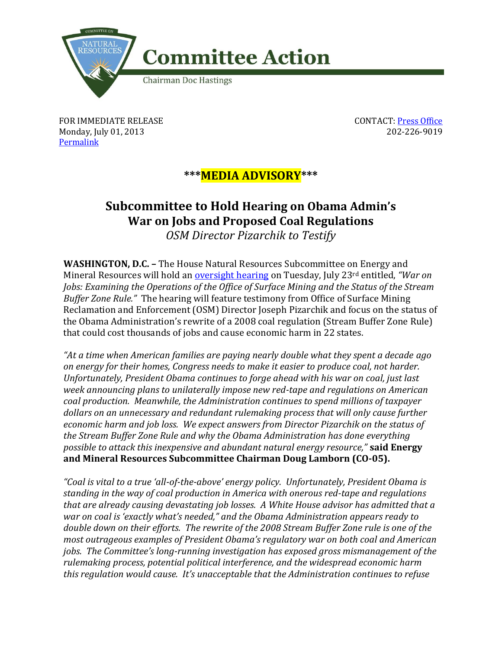

FOR IMMEDIATE RELEASE Monday, July 01, 2013 [Permalink](http://naturalresources.house.gov/news/documentsingle.aspx?DocumentID=341279)

CONTACT: [Press Office](http://naturalresources.house.gov/contact/media.htm) 202-226-9019

## **\*\*\*MEDIA ADVISORY\*\*\***

## **Subcommittee to Hold Hearing on Obama Admin's War on Jobs and Proposed Coal Regulations**

*OSM Director Pizarchik to Testify* 

**WASHINGTON, D.C. –** The House Natural Resources Subcommittee on Energy and Mineral Resources will hold an [oversight hearing](http://naturalresources.house.gov/calendar/eventsingle.aspx?EventID=341265) on Tuesday, July 23rd entitled, *"War on Jobs: Examining the Operations of the Office of Surface Mining and the Status of the Stream Buffer Zone Rule."* The hearing will feature testimony from Office of Surface Mining Reclamation and Enforcement (OSM) Director Joseph Pizarchik and focus on the status of the Obama Administration's rewrite of a 2008 coal regulation (Stream Buffer Zone Rule) that could cost thousands of jobs and cause economic harm in 22 states.

*"At a time when American families are paying nearly double what they spent a decade ago on energy for their homes, Congress needs to make it easier to produce coal, not harder. Unfortunately, President Obama continues to forge ahead with his war on coal, just last week announcing plans to unilaterally impose new red-tape and regulations on American coal production. Meanwhile, the Administration continues to spend millions of taxpayer dollars on an unnecessary and redundant rulemaking process that will only cause further economic harm and job loss. We expect answers from Director Pizarchik on the status of the Stream Buffer Zone Rule and why the Obama Administration has done everything possible to attack this inexpensive and abundant natural energy resource,"* **said Energy and Mineral Resources Subcommittee Chairman Doug Lamborn (CO-05).**

*"Coal is vital to a true 'all-of-the-above' energy policy. Unfortunately, President Obama is standing in the way of coal production in America with onerous red-tape and regulations that are already causing devastating job losses. A White House advisor has admitted that a war on coal is 'exactly what's needed," and the Obama Administration appears ready to double down on their efforts. The rewrite of the 2008 Stream Buffer Zone rule is one of the most outrageous examples of President Obama's regulatory war on both coal and American jobs. The Committee's long-running investigation has exposed gross mismanagement of the rulemaking process, potential political interference, and the widespread economic harm this regulation would cause. It's unacceptable that the Administration continues to refuse*